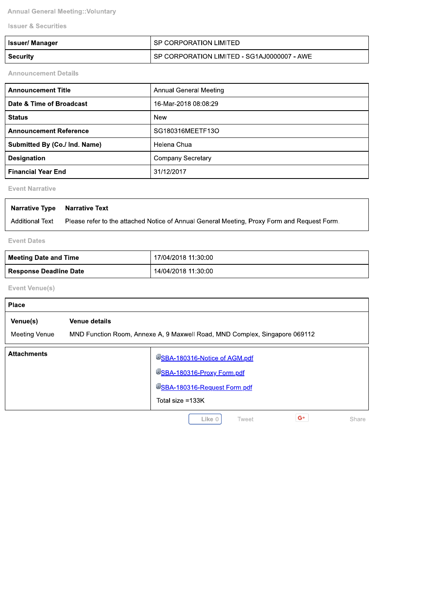**Annual General Meeting:: Voluntary** 

**Issuer & Securities** 

| <b>Issuer/ Manager</b> | I SP CORPORATION LIMITED                      |
|------------------------|-----------------------------------------------|
| <b>Security</b>        | I SP CORPORATION LIMITED - SG1AJ0000007 - AWE |

**Announcement Details** 

| <b>Announcement Title</b>     | Annual General Meeting |
|-------------------------------|------------------------|
| Date & Time of Broadcast      | 16-Mar-2018 08:08:29   |
| <b>Status</b>                 | <b>New</b>             |
| <b>Announcement Reference</b> | SG180316MEETF13O       |
| Submitted By (Co./ Ind. Name) | Helena Chua            |
| <b>Designation</b>            | Company Secretary      |
| <b>Financial Year End</b>     | 31/12/2017             |

**Event Narrative** 

| <b>Narrative Type Narrative Text</b> |                                                                                             |
|--------------------------------------|---------------------------------------------------------------------------------------------|
| <b>Additional Text</b>               | Please refer to the attached Notice of Annual General Meeting, Proxy Form and Request Form. |

**Event Dates** 

| ' Meeting Date and Time | 17/04/2018 11:30:00 |
|-------------------------|---------------------|
| Response Deadline Date  | 14/04/2018 11:30:00 |

Event Venue(s)

| <b>Place</b>                     |                                                                                                                 |
|----------------------------------|-----------------------------------------------------------------------------------------------------------------|
| Venue(s)<br><b>Meeting Venue</b> | Venue details<br>MND Function Room, Annexe A, 9 Maxwell Road, MND Complex, Singapore 069112                     |
| <b>Attachments</b>               | USBA-180316-Notice of AGM.pdf<br>USBA-180316-Proxy Form.pdf<br>USBA-180316-Request Form.pdf<br>Total size =133K |
|                                  | $G^+$<br>Like <sub>0</sub><br>Tweet<br>Share                                                                    |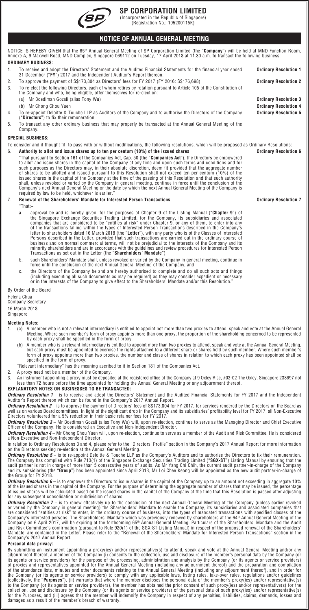

## **SP CORPORATION LIMITED**

(Incorporated in the Republic of Singapore) (Registration No.: 195200115K)

## **NOTICE OF ANNUAL GENERAL MEETING**

NOTICE IS HEREBY GIVEN that the 65<sup>m</sup> Annual General Meeting of SP Corporation Limited (the "**Company**") will be held at MND Function Room,<br>Annexe A, 9 Maxwell Road, MND Complex, Singapore 069112 on Tuesday, 17 April 2018 **ORDINARY BUSINESS:**

1. To receive and adopt the Directors' Statement and the Audited Financial Statements for the financial year ended 31 December ("**FY**") 2017 and the Independent Auditor's Report thereon. **Ordinary Resolution 1** 2. To approve the payment of S\$173,804 as Directors' fees for FY 2017 (FY 2016: S\$176,698). **Ordinary Resolution 2** 3. To re-elect the following Directors, each of whom retires by rotation pursuant to Article 105 of the Constitution of the Company and who, being eligible, offer themselves for re-election: (a) Mr Boediman Gozali (alias Tony Wu) **Ordinary Resolution 3** (b) Mr Chong Chou Yuen 4. To re-appoint Deloitte & Touche LLP as Auditors of the Company and to authorise the Directors of the Company ("**Directors**") to fix their remuneration. **Ordinary Resolution 5** 5. To transact any other ordinary business that may properly be transacted at the Annual General Meeting of the Company.

## **SPECIAL BUSINESS:**

To consider and if thought fit, to pass with or without modifications, the following resolutions, which will be proposed as Ordinary Resolutions: 6. **Authority to allot and issue shares up to ten per centum (10%) of the issued shares Ordinary Resolution 6**

"That pursuant to Section 161 of the Companies Act, Cap. 50 (the "**Companies Act**"), the Directors be empowered<br>to allot and issue shares in the capital of the Company at any time and upon such terms and conditions and for issued shares in the capital of the Company at the time of the passing of this Resolution and that such authority<br>shall, unless revoked or varied by the Company in general meeting, continue in force until the conclusion of

## 7. **Renewal of the Shareholders' Mandate for Interested Person Transactions Ordinary Resolution 7**

"That:–

- a. approval be and is hereby given, for the purposes of Chapter 9 of the Listing Manual ("**Chapter 9**") of<br>the Singapore Exchange Securities Trading Limited, for the Company, its subsidiaries and associated<br>companies that business and on normal commercial terms, will not be prejudicial to the interests of the Company and its<br>minority shareholders and are in accordance with the guidelines and review procedures for Interested Person<br>Transacti
- b. such Shareholders' Mandate shall, unless revoked or varied by the Company in general meeting, continue in force until the conclusion of the next Annual General Meeting of the Company; and
- c. the Directors of the Company be and are hereby authorised to complete and do all such acts and things<br>including executing all such documents as may be required) as they may consider expedient or necessary)<br>"or in the in

By Order of the Board Helena Chua Company Secretary 16 March 2018

Singapore

## **Meeting Notes:**

- 1. (a) A member who is not a relevant intermediary is entitled to appoint not more than two proxies to attend, speak and vote at the Annual General Meeting. Where such member's form of proxy appoints more than one proxy, the proportion of the shareholding concerned to be represented by each proxy shall be specified in the form of proxy.
	- , (b) A member who is a relevant intermediary is entitled to appoint more than two proxies to attend, speak and vote at the Annual General Meeting,<br>but each proxy must be appointed to exercise the rights attached to a diff form of proxy appoints more than two proxies, the number and class of shares in relation to which each proxy has been appointed shall be specified in the form of proxy.
	- "Relevant intermediary" has the meaning ascribed to it in Section 181 of the Companies Act.
- 2. A proxy need not be a member of the Company.

3. An instrument appointing a proxy must be deposited at the registered office of the Company at 9 Oxley Rise, #03-02 The Oxley, Singapore 238697 not<br>Iess than 72 hours before the time appointed for holding the Annual Gene

# **EXPLANATORY NOTES ON BUSINESSES TO BE TRANSACTED:**

**Ordinary Resolution 1** — is to receive and adopt the Directors' Statement and the Audited Financial Statements for FY 2017 and the Independent<br>Auditor's Report thereon which can be found in the Company's 2017 Annual Repor

**Ordinary Resolution 2** – is to approve the payment of Directors' fees of S\$173,804 for FY 2017, for services rendered by the Directors on the Board as<br>well as on various Board committees. In light of the significant drop

*Ordinary Resolution 3* – Mr Boediman Gozali (alias Tony Wu) will, upon re-election, continue to serve as the Managing Director and Chief Executive<br>Officer of the Company. He is considered an Executive and Non-Independent

*Ordinary Resolution 4* – Mr Chong Chou Yuen will, upon re-election, continue to serve as a member of the Audit and Risk Committee. He is considered a Non-Executive and Non-Independent Director.

In relation to Ordinary Resolutions 3 and 4, please refer to the "Directors' Profile" section in the Company's 2017 Annual Report for more information<br>on the Directors seeking re-election at the Annual General Meeting.

**Ordinary Resolution 5** – is to re-appoint Deloitte & Touche LLP as the Company's Auditors and to authorise the Directors to fix their remuneration.<br>The Company has complied with Rule 713(1) of the Singapore Exchange Secur the Group for FY 2018.

*Ordinary Resolution 6* – is to empower the Directors to issue shares in the capital of the Company up to an amount not exceeding in aggregate 10% of the issued shares in the capital of the Company. For the purpose of determining the aggregate number of shares that may be issued, the percentage<br>of issued shares will be calculated based on the issued shares in the cap for any subsequent consolidation or subdivision of shares.

**Ordinary Resolution 7** – is to renew effectively up to the conclusion of the next Annual General Meeting of the Company (unless earlier revoked<br>or varied by the Company in general meeting) the Shareholders' Mandate to ena Company's 2017 Annual Report.

## **Personal data privacy:**

By submitting an instrument appointing a proxy(ies) and/or representative(s) to attend, speak and vote at the Annual General Meeting and/or any<br>adjournment thereof, a member of the Company (i) consents to the collection, u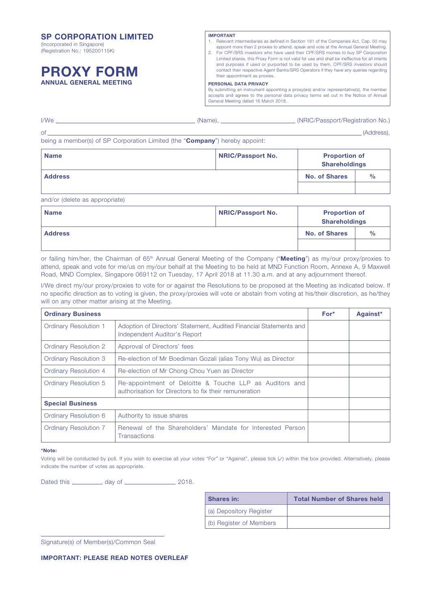## SP CORPORATION LIMITED

(Incorporated in Singapore) (Registration No.: 195200115K)

# PROXY FORM ANNUAL GENERAL MEETING

## IMPORTANT

- 1. Relevant intermediaries as defined in Section 181 of the Companies Act, Cap. 50 may appoint more than 2 proxies to attend, speak and vote at the Annual General Meeting.
- 2. For CPF/SRS investors who have used their CPF/SRS monies to buy SP Corporation Limited shares, this Proxy Form is not valid for use and shall be ineffective for all intents and purposes if used or purported to be used by them. CPF/SRS investors should contact their respective Agent Banks/SRS Operators if they have any queries regarding their appointment as proxies.

#### PERSONAL DATA PRIVACY

By submitting an instrument appointing a proxy(ies) and/or representative(s), the member accepts and agrees to the personal data privacy terms set out in the Notice of Annual General Meeting dated 16 March 2018.

| I/We                | (Name) | (NRIC/Passport/Registration No.) |
|---------------------|--------|----------------------------------|
| $\cap$ <sup>+</sup> |        | (Address),                       |

being a member(s) of SP Corporation Limited (the "Company") hereby appoint:

| <b>Name</b>    | <b>NRIC/Passport No.</b> | <b>Proportion of</b><br><b>Shareholdings</b> |               |
|----------------|--------------------------|----------------------------------------------|---------------|
| <b>Address</b> |                          | <b>No. of Shares</b>                         | $\frac{0}{0}$ |
|                |                          |                                              |               |

and/or (delete as appropriate)

| <b>Name</b>    | NRIC/Passport No. | <b>Proportion of</b><br><b>Shareholdings</b> |               |
|----------------|-------------------|----------------------------------------------|---------------|
| <b>Address</b> |                   | <b>No. of Shares</b>                         | $\frac{0}{0}$ |
|                |                   |                                              |               |

or failing him/her, the Chairman of 65<sup>th</sup> Annual General Meeting of the Company ("**Meeting**") as my/our proxy/proxies to attend, speak and vote for me/us on my/our behalf at the Meeting to be held at MND Function Room, Annexe A, 9 Maxwell Road, MND Complex, Singapore 069112 on Tuesday, 17 April 2018 at 11.30 a.m. and at any adjournment thereof.

I/We direct my/our proxy/proxies to vote for or against the Resolutions to be proposed at the Meeting as indicated below. If no specific direction as to voting is given, the proxy/proxies will vote or abstain from voting at his/their discretion, as he/they will on any other matter arising at the Meeting.

| <b>Ordinary Business</b>     |                                                                                                                  | $For*$ | Against* |
|------------------------------|------------------------------------------------------------------------------------------------------------------|--------|----------|
| <b>Ordinary Resolution 1</b> | Adoption of Directors' Statement, Audited Financial Statements and<br>Independent Auditor's Report               |        |          |
| <b>Ordinary Resolution 2</b> | Approval of Directors' fees                                                                                      |        |          |
| <b>Ordinary Resolution 3</b> | Re-election of Mr Boediman Gozali (alias Tony Wu) as Director                                                    |        |          |
| Ordinary Resolution 4        | Re-election of Mr Chong Chou Yuen as Director                                                                    |        |          |
| Ordinary Resolution 5        | Re-appointment of Deloitte & Touche LLP as Auditors and<br>authorisation for Directors to fix their remuneration |        |          |
| <b>Special Business</b>      |                                                                                                                  |        |          |
| Ordinary Resolution 6        | Authority to issue shares                                                                                        |        |          |
| <b>Ordinary Resolution 7</b> | Renewal of the Shareholders' Mandate for Interested Person<br><b>Transactions</b>                                |        |          |

#### \*Note:

Voting will be conducted by poll. If you wish to exercise all your votes "For" or "Against", please tick (**✓**) within the box provided. Alternatively, please indicate the number of votes as appropriate.

Dated this \_\_\_\_\_\_\_\_\_\_\_ day of \_\_\_\_\_\_\_\_\_\_\_\_\_\_\_\_\_\_\_\_\_\_\_\_ 2018.

| <b>Shares in:</b>       | <b>Total Number of Shares held</b> |
|-------------------------|------------------------------------|
| (a) Depository Register |                                    |
| (b) Register of Members |                                    |

Signature(s) of Member(s)/Common Seal

IMPORTANT: PLEASE READ NOTES OVERLEAF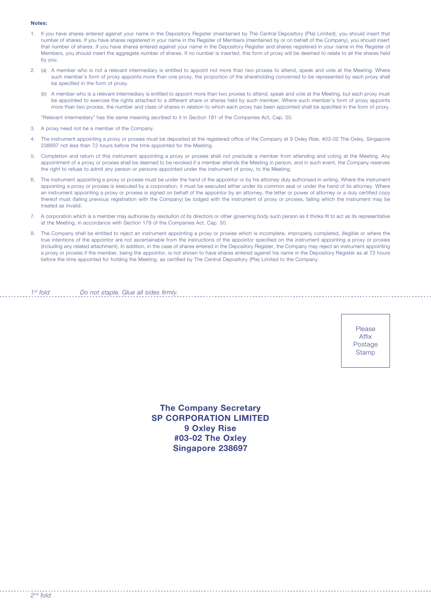### Notes:

- 1. If you have shares entered against your name in the Depository Register (maintained by The Central Depository (Pte) Limited), you should insert that number of shares. If you have shares registered in your name in the Register of Members (maintained by or on behalf of the Company), you should insert that number of shares. If you have shares entered against your name in the Depository Register and shares registered in your name in the Register of Members, you should insert the aggregate number of shares. If no number is inserted, this form of proxy will be deemed to relate to all the shares held by you.
- 2. (a) A member who is not a relevant intermediary is entitled to appoint not more than two proxies to attend, speak and vote at the Meeting. Where such member's form of proxy appoints more than one proxy, the proportion of the shareholding concerned to be represented by each proxy shall be specified in the form of proxy.
	- (b) A member who is a relevant intermediary is entitled to appoint more than two proxies to attend, speak and vote at the Meeting, but each proxy must be appointed to exercise the rights attached to a different share or shares held by such member. Where such member's form of proxy appoints more than two proxies, the number and class of shares in relation to which each proxy has been appointed shall be specified in the form of proxy.

"Relevant intermediary" has the same meaning ascribed to it in Section 181 of the Companies Act, Cap. 50.

- 3. A proxy need not be a member of the Company.
- 4. The instrument appointing a proxy or proxies must be deposited at the registered office of the Company at 9 Oxley Rise, #03-02 The Oxley, Singapore 238697 not less than 72 hours before the time appointed for the Meeting.
- 5. Completion and return of this instrument appointing a proxy or proxies shall not preclude a member from attending and voting at the Meeting. Any appointment of a proxy or proxies shall be deemed to be revoked if a member attends the Meeting in person, and in such event, the Company reserves the right to refuse to admit any person or persons appointed under the instrument of proxy, to the Meeting.
- 6. The instrument appointing a proxy or proxies must be under the hand of the appointor or by his attorney duly authorised in writing. Where the instrument appointing a proxy or proxies is executed by a corporation, it must be executed either under its common seal or under the hand of its attorney. Where an instrument appointing a proxy or proxies is signed on behalf of the appointor by an attorney, the letter or power of attorney or a duly certified copy thereof must (failing previous registration with the Company) be lodged with the instrument of proxy or proxies, failing which the instrument may be treated as invalid.
- 7. A corporation which is a member may authorise by resolution of its directors or other governing body such person as it thinks fit to act as its representative at the Meeting, in accordance with Section 179 of the Companies Act, Cap. 50.
- 8. The Company shall be entitled to reject an instrument appointing a proxy or proxies which is incomplete, improperly completed, illegible or where the true intentions of the appointor are not ascertainable from the instructions of the appointor specified on the instrument appointing a proxy or proxies (including any related attachment). In addition, in the case of shares entered in the Depository Register, the Company may reject an instrument appointing a proxy or proxies if the member, being the appointor, is not shown to have shares entered against his name in the Depository Register as at 72 hours before the time appointed for holding the Meeting, as certified by The Central Depository (Pte) Limited to the Company.

 $1<sup>st</sup>$  fold Do not staple. Glue all sides firmly.

> Please Affix Postage **Stamp**

The Company Secretary SP CORPORATION LIMITED 9 Oxley Rise #03-02 The Oxley Singapore 238697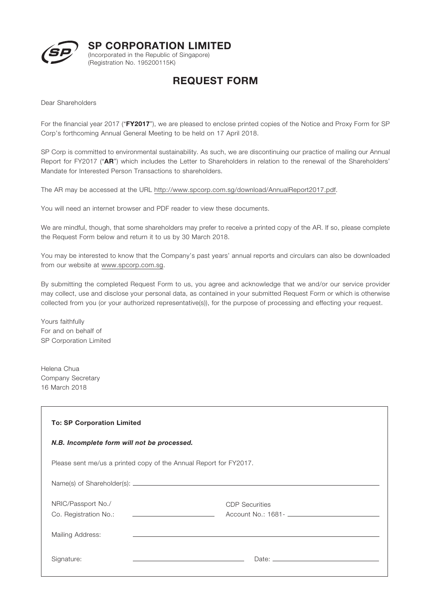

SP CORPORATION LIMITED

(Incorporated in the Republic of Singapore) (Registration No. 195200115K)

# REQUEST FORM

Dear Shareholders

For the financial year 2017 ("**FY2017**"), we are pleased to enclose printed copies of the Notice and Proxy Form for SP Corp's forthcoming Annual General Meeting to be held on 17 April 2018.

SP Corp is committed to environmental sustainability. As such, we are discontinuing our practice of mailing our Annual Report for FY2017 ("AR") which includes the Letter to Shareholders in relation to the renewal of the Shareholders' Mandate for Interested Person Transactions to shareholders.

The AR may be accessed at the URL http://www.spcorp.com.sg/download/AnnualReport2017.pdf.

You will need an internet browser and PDF reader to view these documents.

We are mindful, though, that some shareholders may prefer to receive a printed copy of the AR. If so, please complete the Request Form below and return it to us by 30 March 2018.

You may be interested to know that the Company's past years' annual reports and circulars can also be downloaded from our website at www.spcorp.com.sg.

By submitting the completed Request Form to us, you agree and acknowledge that we and/or our service provider may collect, use and disclose your personal data, as contained in your submitted Request Form or which is otherwise collected from you (or your authorized representative(s)), for the purpose of processing and effecting your request.

Yours faithfully For and on behalf of SP Corporation Limited

Helena Chua Company Secretary 16 March 2018

| <b>To: SP Corporation Limited</b>                                     |                       |  |
|-----------------------------------------------------------------------|-----------------------|--|
| N.B. Incomplete form will not be processed.                           |                       |  |
| Please sent me/us a printed copy of the Annual Report for FY2017.     |                       |  |
|                                                                       |                       |  |
| NRIC/Passport No./                                                    | <b>CDP</b> Securities |  |
| the company of the company of the company of<br>Co. Registration No.: |                       |  |
| Mailing Address:                                                      |                       |  |
| Signature:                                                            |                       |  |